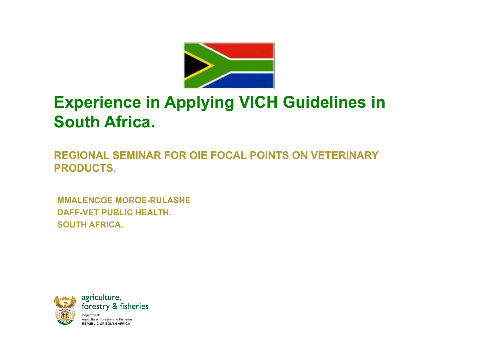

# **Experience in Applying VICH Guidelines in South Africa.**

**REGIONAL SEMINAR FOR OIE FOCAL POINTS ON VETERINARY PRODUCTS.** 

**MMALENCOE MOROE-RULASHE DAFF-VET PUBLIC HEALTH. SOUTH AFRICA.** 

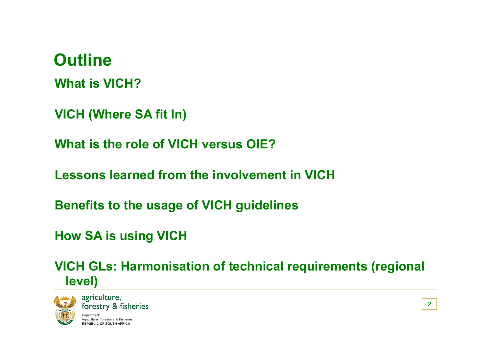# **Outline**

**What is VICH?** 

**VICH (Where SA fit In)** 

**What is the role of VICH versus OIE?** 

**Lessons learned from the involvement in VICH** 

**Benefits to the usage of VICH guidelines** 

**How SA is using VICH** 

**VICH GLs: Harmonisation of technical requirements (regional level)** 

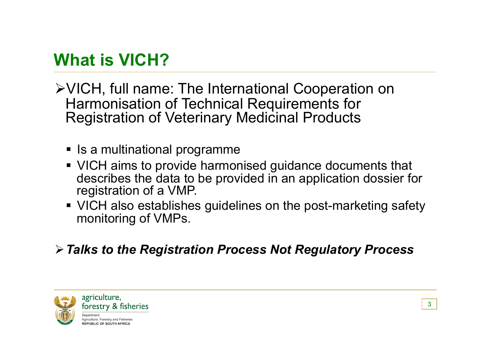# **What is VICH?**

- VICH, full name: The International Cooperation on Harmonisation of Technical Requirements for Registration of Veterinary Medicinal Products
	- Is a multinational programme
	- VICH aims to provide harmonised guidance documents that describes the data to be provided in an application dossier for registration of a VMP.
	- VICH also establishes guidelines on the post-marketing safety monitoring of VMPs.

#### *Talks to the Registration Process Not Regulatory Process*

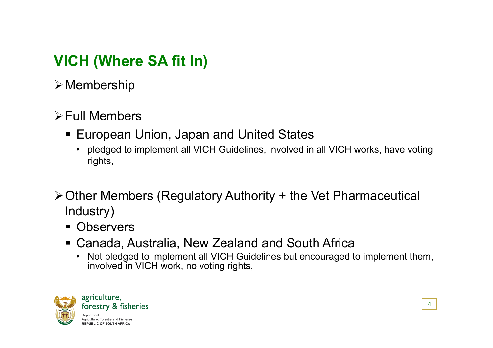# **VICH (Where SA fit In)**

 $\triangleright$  Membership

#### $\triangleright$  Full Members

- European Union, Japan and United States
	- pledged to implement all VICH Guidelines, involved in all VICH works, have voting rights,
- Other Members (Regulatory Authority + the Vet Pharmaceutical Industry)
	- **Observers**
	- Canada, Australia, New Zealand and South Africa
		- Not pledged to implement all VICH Guidelines but encouraged to implement them, involved in VICH work, no voting rights,

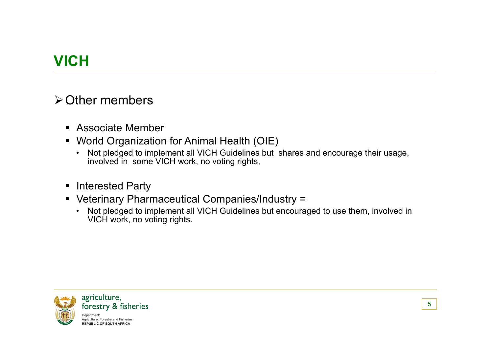# **VICH**

#### **≻Other members**

- Associate Member
- World Organization for Animal Health (OIE)
	- Not pledged to implement all VICH Guidelines but shares and encourage their usage, involved in some VICH work, no voting rights,
- **Interested Party**
- Veterinary Pharmaceutical Companies/Industry =
	- Not pledged to implement all VICH Guidelines but encouraged to use them, involved in VICH work, no voting rights.

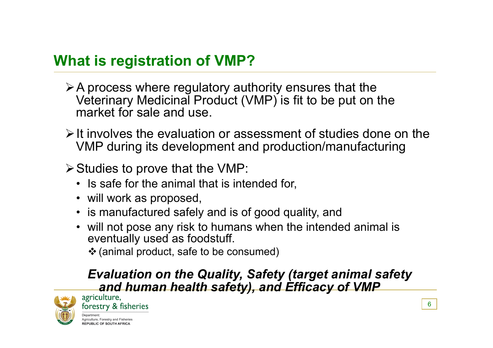### **What is registration of VMP?**

- $\triangleright$  A process where regulatory authority ensures that the Veterinary Medicinal Product (VMP) is fit to be put on the market for sale and use.
- $\triangleright$  It involves the evaluation or assessment of studies done on the VMP during its development and production/manufacturing
- $\triangleright$  Studies to prove that the VMP:
	- Is safe for the animal that is intended for,
	- will work as proposed,
	- is manufactured safely and is of good quality, and
	- will not pose any risk to humans when the intended animal is eventually used as foodstuff.
		- (animal product, safe to be consumed)

# *Evaluation on the Quality, Safety (target animal safety*  **and human health safety), and Efficacy of VMP**<br>agriculture,

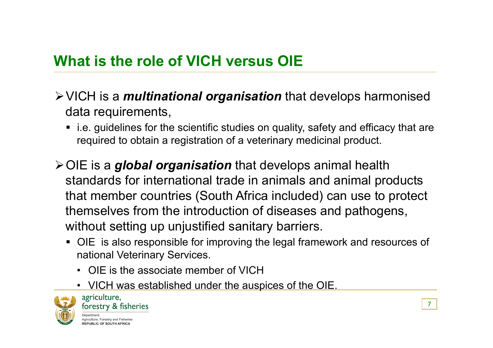#### **What is the role of VICH versus OIE**

- VICH is a *multinational organisation* that develops harmonised data requirements,
	- i.e. guidelines for the scientific studies on quality, safety and efficacy that are required to obtain a registration of a veterinary medicinal product.
- OIE is a *global organisation* that develops animal health standards for international trade in animals and animal products that member countries (South Africa included) can use to protect themselves from the introduction of diseases and pathogens, without setting up unjustified sanitary barriers.
	- OIE is also responsible for improving the legal framework and resources of national Veterinary Services.
		- OIE is the associate member of VICH
		- VICH was established under the auspices of the OIE.

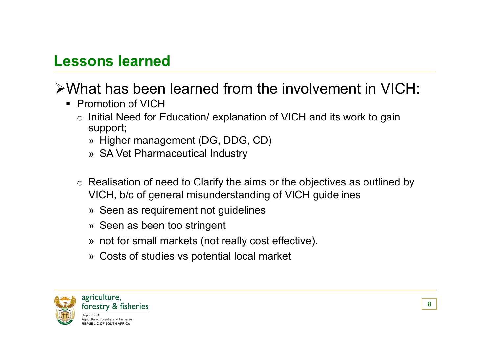#### **Lessons learned**

# What has been learned from the involvement in VICH:

- **Promotion of VICH** 
	- o Initial Need for Education/ explanation of VICH and its work to gain support;
		- » Higher management (DG, DDG, CD)
		- » SA Vet Pharmaceutical Industry
	- $\circ$  Realisation of need to Clarify the aims or the objectives as outlined by VICH, b/c of general misunderstanding of VICH guidelines
		- » Seen as requirement not guidelines
		- » Seen as been too stringent
		- » not for small markets (not really cost effective).
		- » Costs of studies vs potential local market

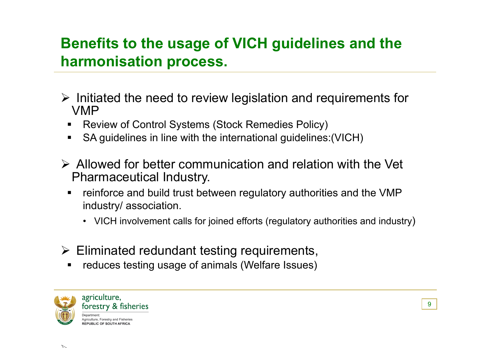# **Benefits to the usage of VICH guidelines and the harmonisation process.**

- $\triangleright$  Initiated the need to review legislation and requirements for VMP
	- Review of Control Systems (Stock Remedies Policy)
	- SA guidelines in line with the international guidelines:(VICH)
- $\triangleright$  Allowed for better communication and relation with the Vet Pharmaceutical Industry.
	- **F** reinforce and build trust between regulatory authorities and the VMP industry/ association.
		- VICH involvement calls for joined efforts (regulatory authorities and industry)
- $\triangleright$  Eliminated redundant testing requirements,
	- **•** reduces testing usage of animals (Welfare Issues)

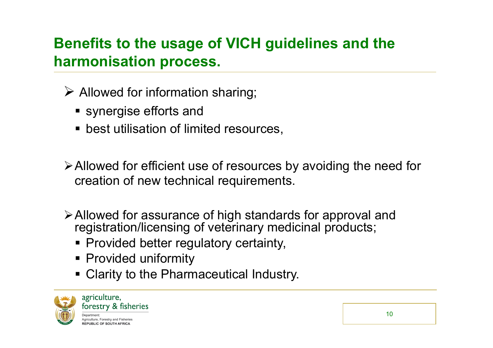# **Benefits to the usage of VICH guidelines and the harmonisation process.**

- $\triangleright$  Allowed for information sharing;
	- synergise efforts and
	- **best utilisation of limited resources,**

Allowed for efficient use of resources by avoiding the need for creation of new technical requirements.

- Allowed for assurance of high standards for approval and registration/licensing of veterinary medicinal products;
	- Provided better regulatory certainty,
	- **Provided uniformity**
	- Clarity to the Pharmaceutical Industry.

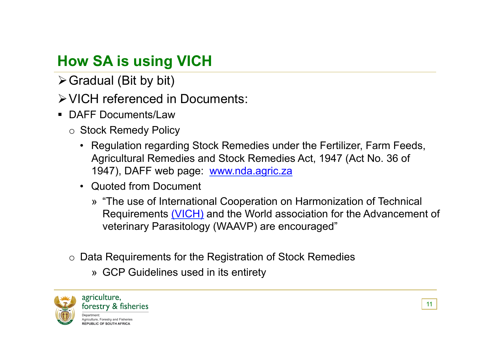# **How SA is using VICH**

 $\triangleright$  Gradual (Bit by bit)

VICH referenced in Documents:

- DAFF Documents/Law
	- o Stock Remedy Policy
		- Regulation regarding Stock Remedies under the Fertilizer, Farm Feeds, Agricultural Remedies and Stock Remedies Act, 1947 (Act No. 36 of 1947), DAFF web page: www.nda.agric.za
		- Quoted from Document
			- » "The use of International Cooperation on Harmonization of Technical Requirements (VICH) and the World association for the Advancement of veterinary Parasitology (WAAVP) are encouraged"
	- o Data Requirements for the Registration of Stock Remedies
		- » GCP Guidelines used in its entirety

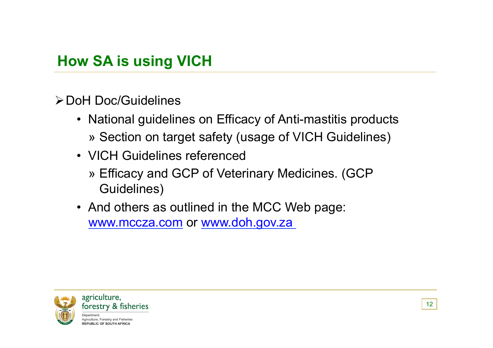**≻ DoH Doc/Guidelines** 

- National guidelines on Efficacy of Anti-mastitis products » Section on target safety (usage of VICH Guidelines)
- VICH Guidelines referenced
	- » Efficacy and GCP of Veterinary Medicines. (GCP Guidelines)
- And others as outlined in the MCC Web page: www.mccza.com or www.doh.gov.za

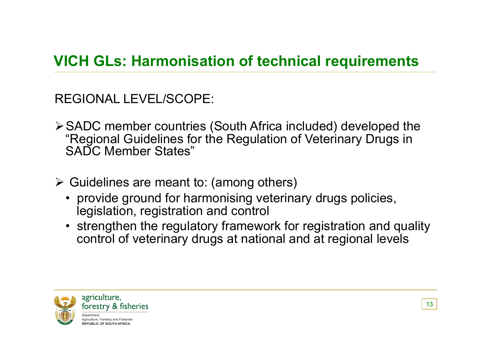# **VICH GLs: Harmonisation of technical requirements**

REGIONAL LEVEL/SCOPE:

- SADC member countries (South Africa included) developed the "Regional Guidelines for the Regulation of Veterinary Drugs in SADC Member States"
- $\triangleright$  Guidelines are meant to: (among others)
	- provide ground for harmonising veterinary drugs policies, legislation, registration and control
	- strengthen the regulatory framework for registration and quality control of veterinary drugs at national and at regional levels

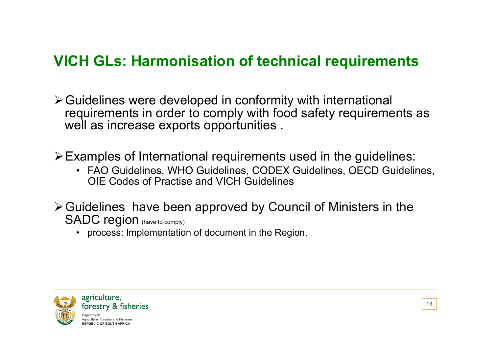# **VICH GLs: Harmonisation of technical requirements**

Guidelines were developed in conformity with international requirements in order to comply with food safety requirements as well as increase exports opportunities.

Examples of International requirements used in the guidelines:

- FAO Guidelines, WHO Guidelines, CODEX Guidelines, OECD Guidelines, OIE Codes of Practise and VICH Guidelines
- Guidelines have been approved by Council of Ministers in the SADC region (have to comply)
	- process: Implementation of document in the Region.